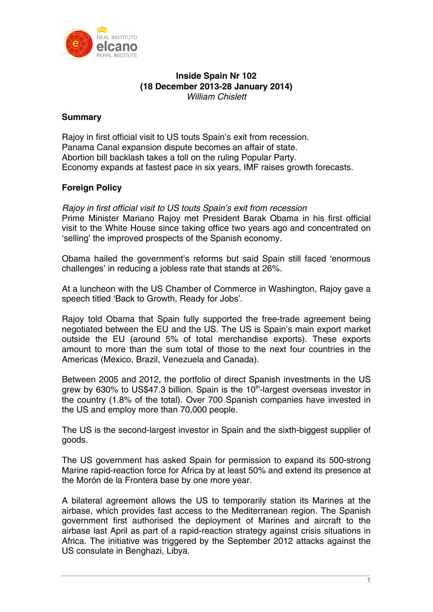

## **Inside Spain Nr 102 (18 December 2013-28 January 2014)**  *William Chislett*

# **Summary**

Rajoy in first official visit to US touts Spain's exit from recession. Panama Canal expansion dispute becomes an affair of state. Abortion bill backlash takes a toll on the ruling Popular Party. Economy expands at fastest pace in six years, IMF raises growth forecasts.

# **Foreign Policy**

*Rajoy in first official visit to US touts Spain's exit from recession*  Prime Minister Mariano Rajoy met President Barak Obama in his first official visit to the White House since taking office two years ago and concentrated on 'selling' the improved prospects of the Spanish economy.

Obama hailed the government's reforms but said Spain still faced 'enormous challenges' in reducing a jobless rate that stands at 26%.

At a luncheon with the US Chamber of Commerce in Washington, Rajoy gave a speech titled 'Back to Growth, Ready for Jobs'.

Rajoy told Obama that Spain fully supported the free-trade agreement being negotiated between the EU and the US. The US is Spain's main export market outside the EU (around 5% of total merchandise exports). These exports amount to more than the sum total of those to the next four countries in the Americas (Mexico, Brazil, Venezuela and Canada).

Between 2005 and 2012, the portfolio of direct Spanish investments in the US grew by 630% to US\$47.3 billion. Spain is the  $10<sup>th</sup>$ -largest overseas investor in the country (1.8% of the total). Over 700 Spanish companies have invested in the US and employ more than 70,000 people.

The US is the second-largest investor in Spain and the sixth-biggest supplier of goods.

The US government has asked Spain for permission to expand its 500-strong Marine rapid-reaction force for Africa by at least 50% and extend its presence at the Morón de la Frontera base by one more year.

A bilateral agreement allows the US to temporarily station its Marines at the airbase, which provides fast access to the Mediterranean region. The Spanish government first authorised the deployment of Marines and aircraft to the airbase last April as part of a rapid-reaction strategy against crisis situations in Africa. The initiative was triggered by the September 2012 attacks against the US consulate in Benghazi, Libya.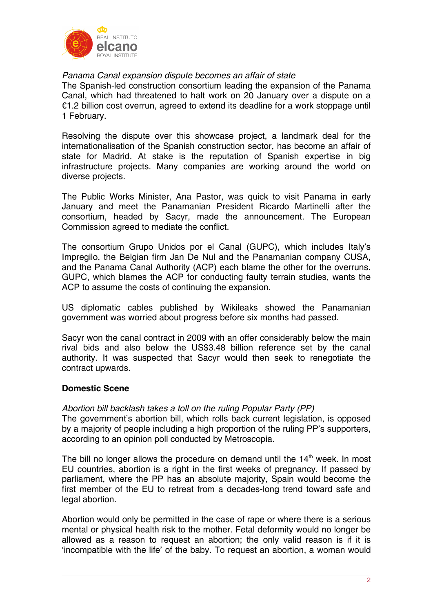

# *Panama Canal expansion dispute becomes an affair of state*

The Spanish-led construction consortium leading the expansion of the Panama Canal, which had threatened to halt work on 20 January over a dispute on a €1.2 billion cost overrun, agreed to extend its deadline for a work stoppage until 1 February.

Resolving the dispute over this showcase project, a landmark deal for the internationalisation of the Spanish construction sector, has become an affair of state for Madrid. At stake is the reputation of Spanish expertise in big infrastructure projects. Many companies are working around the world on diverse projects.

The Public Works Minister, Ana Pastor, was quick to visit Panama in early January and meet the Panamanian President Ricardo Martinelli after the consortium, headed by Sacyr, made the announcement. The European Commission agreed to mediate the conflict.

The consortium Grupo Unidos por el Canal (GUPC), which includes Italy's Impregilo, the Belgian firm Jan De Nul and the Panamanian company CUSA, and the Panama Canal Authority (ACP) each blame the other for the overruns. GUPC, which blames the ACP for conducting faulty terrain studies, wants the ACP to assume the costs of continuing the expansion.

US diplomatic cables published by Wikileaks showed the Panamanian government was worried about progress before six months had passed.

Sacyr won the canal contract in 2009 with an offer considerably below the main rival bids and also below the US\$3.48 billion reference set by the canal authority. It was suspected that Sacyr would then seek to renegotiate the contract upwards.

## **Domestic Scene**

## *Abortion bill backlash takes a toll on the ruling Popular Party (PP)*

The government's abortion bill, which rolls back current legislation, is opposed by a majority of people including a high proportion of the ruling PP's supporters, according to an opinion poll conducted by Metroscopia.

The bill no longer allows the procedure on demand until the  $14<sup>th</sup>$  week. In most EU countries, abortion is a right in the first weeks of pregnancy. If passed by parliament, where the PP has an absolute majority, Spain would become the first member of the EU to retreat from a decades-long trend toward safe and legal abortion.

Abortion would only be permitted in the case of rape or where there is a serious mental or physical health risk to the mother. Fetal deformity would no longer be allowed as a reason to request an abortion; the only valid reason is if it is 'incompatible with the life' of the baby. To request an abortion, a woman would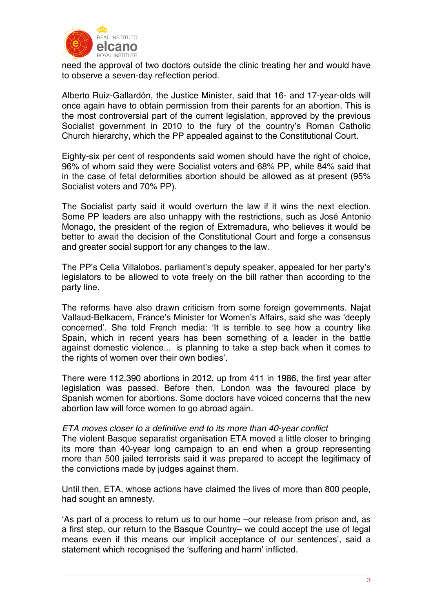

need the approval of two doctors outside the clinic treating her and would have to observe a seven-day reflection period.

Alberto Ruiz-Gallardón, the Justice Minister, said that 16- and 17-year-olds will once again have to obtain permission from their parents for an abortion. This is the most controversial part of the current legislation, approved by the previous Socialist government in 2010 to the fury of the country's Roman Catholic Church hierarchy, which the PP appealed against to the Constitutional Court.

Eighty-six per cent of respondents said women should have the right of choice, 96% of whom said they were Socialist voters and 68% PP, while 84% said that in the case of fetal deformities abortion should be allowed as at present (95% Socialist voters and 70% PP).

The Socialist party said it would overturn the law if it wins the next election. Some PP leaders are also unhappy with the restrictions, such as José Antonio Monago, the president of the region of Extremadura, who believes it would be better to await the decision of the Constitutional Court and forge a consensus and greater social support for any changes to the law.

The PP's Celia Villalobos, parliament's deputy speaker, appealed for her party's legislators to be allowed to vote freely on the bill rather than according to the party line.

The reforms have also drawn criticism from some foreign governments. Najat Vallaud-Belkacem, France's Minister for Women's Affairs, said she was 'deeply concerned'. She told French media: 'It is terrible to see how a country like Spain, which in recent years has been something of a leader in the battle against domestic violence... is planning to take a step back when it comes to the rights of women over their own bodies'.

There were 112,390 abortions in 2012, up from 411 in 1986, the first year after legislation was passed. Before then, London was the favoured place by Spanish women for abortions. Some doctors have voiced concerns that the new abortion law will force women to go abroad again.

#### *ETA moves closer to a definitive end to its more than 40-year conflict*

The violent Basque separatist organisation ETA moved a little closer to bringing its more than 40-year long campaign to an end when a group representing more than 500 jailed terrorists said it was prepared to accept the legitimacy of the convictions made by judges against them.

Until then, ETA, whose actions have claimed the lives of more than 800 people, had sought an amnesty.

'As part of a process to return us to our home –our release from prison and, as a first step, our return to the Basque Country– we could accept the use of legal means even if this means our implicit acceptance of our sentences', said a statement which recognised the 'suffering and harm' inflicted.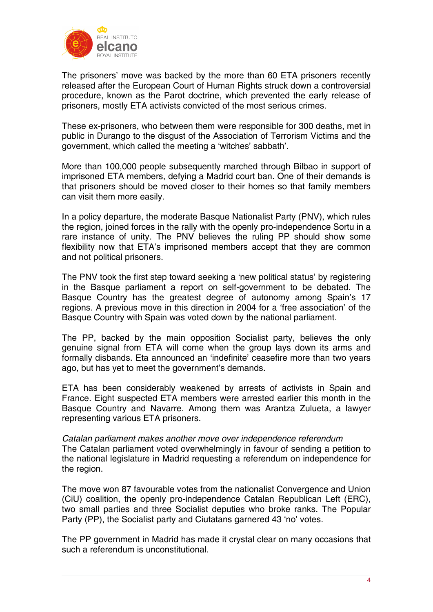

The prisoners' move was backed by the more than 60 ETA prisoners recently released after the European Court of Human Rights struck down a controversial procedure, known as the Parot doctrine, which prevented the early release of prisoners, mostly ETA activists convicted of the most serious crimes.

These ex-prisoners, who between them were responsible for 300 deaths, met in public in Durango to the disgust of the Association of Terrorism Victims and the government, which called the meeting a 'witches' sabbath'.

More than 100,000 people subsequently marched through Bilbao in support of imprisoned ETA members, defying a Madrid court ban. One of their demands is that prisoners should be moved closer to their homes so that family members can visit them more easily.

In a policy departure, the moderate Basque Nationalist Party (PNV), which rules the region, joined forces in the rally with the openly pro-independence Sortu in a rare instance of unity. The PNV believes the ruling PP should show some flexibility now that ETA's imprisoned members accept that they are common and not political prisoners.

The PNV took the first step toward seeking a 'new political status' by registering in the Basque parliament a report on self-government to be debated. The Basque Country has the greatest degree of autonomy among Spain's 17 regions. A previous move in this direction in 2004 for a 'free association' of the Basque Country with Spain was voted down by the national parliament.

The PP, backed by the main opposition Socialist party, believes the only genuine signal from ETA will come when the group lays down its arms and formally disbands. Eta announced an 'indefinite' ceasefire more than two years ago, but has yet to meet the government's demands.

ETA has been considerably weakened by arrests of activists in Spain and France. Eight suspected ETA members were arrested earlier this month in the Basque Country and Navarre. Among them was Arantza Zulueta, a lawyer representing various ETA prisoners.

*Catalan parliament makes another move over independence referendum*  The Catalan parliament voted overwhelmingly in favour of sending a petition to the national legislature in Madrid requesting a referendum on independence for the region.

The move won 87 favourable votes from the nationalist Convergence and Union (CiU) coalition, the openly pro-independence Catalan Republican Left (ERC), two small parties and three Socialist deputies who broke ranks. The Popular Party (PP), the Socialist party and Ciutatans garnered 43 'no' votes.

The PP government in Madrid has made it crystal clear on many occasions that such a referendum is unconstitutional.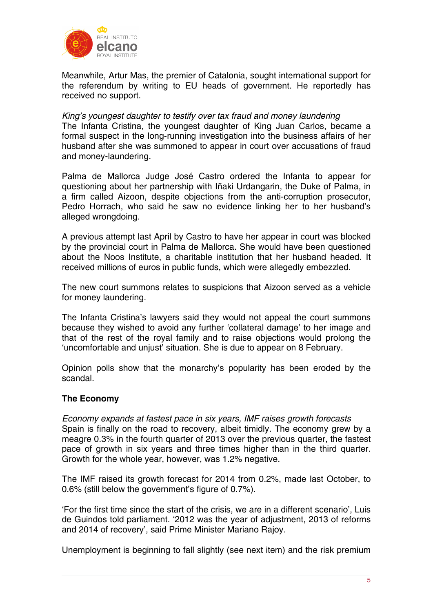

Meanwhile, Artur Mas, the premier of Catalonia, sought international support for the referendum by writing to EU heads of government. He reportedly has received no support.

### *King's youngest daughter to testify over tax fraud and money laundering*

The Infanta Cristina, the youngest daughter of King Juan Carlos, became a formal suspect in the long-running investigation into the business affairs of her husband after she was summoned to appear in court over accusations of fraud and money-laundering.

Palma de Mallorca Judge José Castro ordered the Infanta to appear for questioning about her partnership with Iñaki Urdangarin, the Duke of Palma, in a firm called Aizoon, despite objections from the anti-corruption prosecutor, Pedro Horrach, who said he saw no evidence linking her to her husband's alleged wrongdoing.

A previous attempt last April by Castro to have her appear in court was blocked by the provincial court in Palma de Mallorca. She would have been questioned about the Noos Institute, a charitable institution that her husband headed. It received millions of euros in public funds, which were allegedly embezzled.

The new court summons relates to suspicions that Aizoon served as a vehicle for money laundering.

The Infanta Cristina's lawyers said they would not appeal the court summons because they wished to avoid any further 'collateral damage' to her image and that of the rest of the royal family and to raise objections would prolong the 'uncomfortable and unjust' situation. She is due to appear on 8 February.

Opinion polls show that the monarchy's popularity has been eroded by the scandal.

## **The Economy**

*Economy expands at fastest pace in six years, IMF raises growth forecasts*  Spain is finally on the road to recovery, albeit timidly. The economy grew by a meagre 0.3% in the fourth quarter of 2013 over the previous quarter, the fastest pace of growth in six years and three times higher than in the third quarter. Growth for the whole year, however, was 1.2% negative.

The IMF raised its growth forecast for 2014 from 0.2%, made last October, to 0.6% (still below the government's figure of 0.7%).

'For the first time since the start of the crisis, we are in a different scenario', Luis de Guindos told parliament. '2012 was the year of adjustment, 2013 of reforms and 2014 of recovery', said Prime Minister Mariano Rajoy.

Unemployment is beginning to fall slightly (see next item) and the risk premium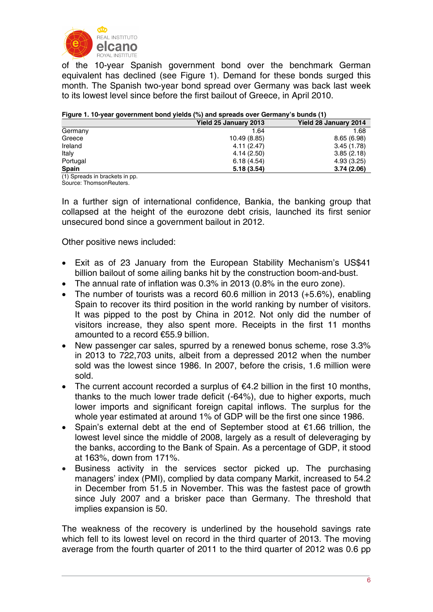

of the 10-year Spanish government bond over the benchmark German equivalent has declined (see Figure 1). Demand for these bonds surged this month. The Spanish two-year bond spread over Germany was back last week to its lowest level since before the first bailout of Greece, in April 2010.

|              | Yield 28 January 2014 |
|--------------|-----------------------|
| 1.64         | 1.68                  |
| 10.49 (8.85) | 8.65(6.98)            |
| 4.11(2.47)   | 3.45(1.78)            |
| 4.14(2.50)   | 3.85(2.18)            |
| 6.18(4.54)   | 4.93(3.25)            |
| 5.18(3.54)   | 3.74(2.06)            |
|              | Yield 25 January 2013 |

#### **Figure 1. 10-year government bond yields (%) and spreads over Germany's bunds (1)**

(1) Spreads in brackets in pp. Source: ThomsonReuters.

In a further sign of international confidence, Bankia, the banking group that collapsed at the height of the eurozone debt crisis, launched its first senior unsecured bond since a government bailout in 2012.

Other positive news included:

- Exit as of 23 January from the European Stability Mechanism's US\$41 billion bailout of some ailing banks hit by the construction boom-and-bust.
- The annual rate of inflation was 0.3% in 2013 (0.8% in the euro zone).
- The number of tourists was a record 60.6 million in 2013 (+5.6%), enabling Spain to recover its third position in the world ranking by number of visitors. It was pipped to the post by China in 2012. Not only did the number of visitors increase, they also spent more. Receipts in the first 11 months amounted to a record €55.9 billion.
- New passenger car sales, spurred by a renewed bonus scheme, rose 3.3% in 2013 to 722,703 units, albeit from a depressed 2012 when the number sold was the lowest since 1986. In 2007, before the crisis, 1.6 million were sold.
- The current account recorded a surplus of  $\epsilon$ 4.2 billion in the first 10 months, thanks to the much lower trade deficit (-64%), due to higher exports, much lower imports and significant foreign capital inflows. The surplus for the whole year estimated at around 1% of GDP will be the first one since 1986.
- Spain's external debt at the end of September stood at €1.66 trillion, the lowest level since the middle of 2008, largely as a result of deleveraging by the banks, according to the Bank of Spain. As a percentage of GDP, it stood at 163%, down from 171%.
- Business activity in the services sector picked up. The purchasing managers' index (PMI), complied by data company Markit, increased to 54.2 in December from 51.5 in November. This was the fastest pace of growth since July 2007 and a brisker pace than Germany. The threshold that implies expansion is 50.

The weakness of the recovery is underlined by the household savings rate which fell to its lowest level on record in the third quarter of 2013. The moving average from the fourth quarter of 2011 to the third quarter of 2012 was 0.6 pp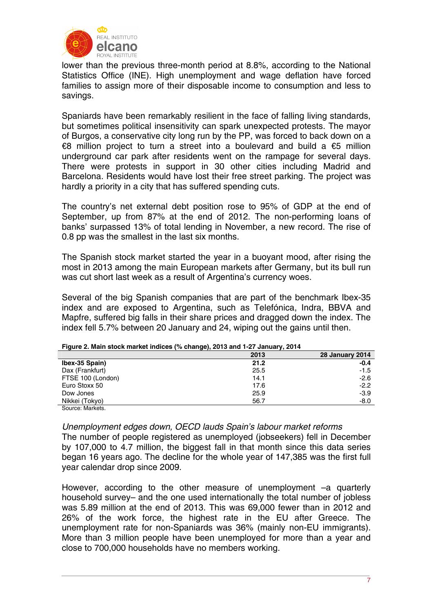

lower than the previous three-month period at 8.8%, according to the National Statistics Office (INE). High unemployment and wage deflation have forced families to assign more of their disposable income to consumption and less to savings.

Spaniards have been remarkably resilient in the face of falling living standards, but sometimes political insensitivity can spark unexpected protests. The mayor of Burgos, a conservative city long run by the PP, was forced to back down on a €8 million project to turn a street into a boulevard and build a €5 million underground car park after residents went on the rampage for several days. There were protests in support in 30 other cities including Madrid and Barcelona. Residents would have lost their free street parking. The project was hardly a priority in a city that has suffered spending cuts.

The country's net external debt position rose to 95% of GDP at the end of September, up from 87% at the end of 2012. The non-performing loans of banks' surpassed 13% of total lending in November, a new record. The rise of 0.8 pp was the smallest in the last six months.

The Spanish stock market started the year in a buoyant mood, after rising the most in 2013 among the main European markets after Germany, but its bull run was cut short last week as a result of Argentina's currency woes.

Several of the big Spanish companies that are part of the benchmark Ibex-35 index and are exposed to Argentina, such as Telefónica, Indra, BBVA and Mapfre, suffered big falls in their share prices and dragged down the index. The index fell 5.7% between 20 January and 24, wiping out the gains until then.

|                   | $\cdot$ $\cdot$ | . .                    |
|-------------------|-----------------|------------------------|
|                   | 2013            | <b>28 January 2014</b> |
| Ibex-35 Spain)    | 21.2            | $-0.4$                 |
| Dax (Frankfurt)   | 25.5            | $-1.5$                 |
| FTSE 100 (London) | 14.1            | $-2.6$                 |
| Euro Stoxx 50     | 17.6            | $-2.2$                 |
| Dow Jones         | 25.9            | $-3.9$                 |
| Nikkei (Tokyo)    | 56.7            | $-8.0$                 |
| Source: Markets.  |                 |                        |

**Figure 2. Main stock market indices (% change), 2013 and 1-27 January, 2014**

*Unemployment edges down, OECD lauds Spain's labour market reforms* 

The number of people registered as unemployed (jobseekers) fell in December by 107,000 to 4.7 million, the biggest fall in that month since this data series began 16 years ago. The decline for the whole year of 147,385 was the first full year calendar drop since 2009.

However, according to the other measure of unemployment –a quarterly household survey– and the one used internationally the total number of jobless was 5.89 million at the end of 2013. This was 69,000 fewer than in 2012 and 26% of the work force, the highest rate in the EU after Greece. The unemployment rate for non-Spaniards was 36% (mainly non-EU immigrants). More than 3 million people have been unemployed for more than a year and close to 700,000 households have no members working.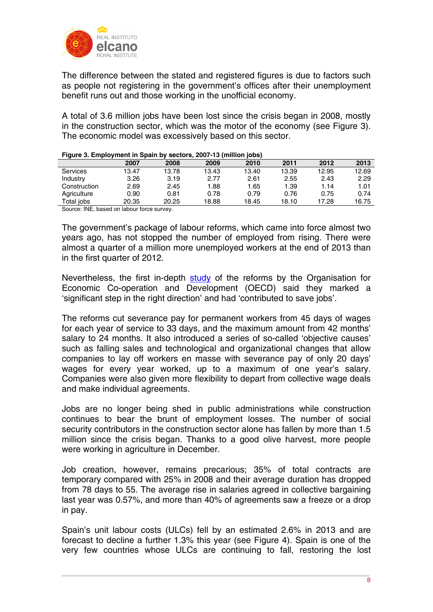

The difference between the stated and registered figures is due to factors such as people not registering in the government's offices after their unemployment benefit runs out and those working in the unofficial economy.

A total of 3.6 million jobs have been lost since the crisis began in 2008, mostly in the construction sector, which was the motor of the economy (see Figure 3). The economic model was excessively based on this sector.

|                                                   | 2007  | 2008  | 2009  | 2010  | 2011  | 2012  | 2013  |
|---------------------------------------------------|-------|-------|-------|-------|-------|-------|-------|
| Services                                          | 13.47 | 13.78 | 13.43 | 13.40 | 13.39 | 12.95 | 12.69 |
| Industry                                          | 3.26  | 3.19  | 2.77  | 2.61  | 2.55  | 2.43  | 2.29  |
| Construction                                      | 2.69  | 2.45  | 1.88  | 1.65  | 1.39  | 1.14  | 1.01  |
| Agriculture                                       | 0.90  | 0.81  | 0.78  | 0.79  | 0.76  | 0.75  | 0.74  |
| Total jobs                                        | 20.35 | 20.25 | 18.88 | 18.45 | 18.10 | 17.28 | 16.75 |
| <b>Order INF brief and the conference</b> company |       |       |       |       |       |       |       |

**Figure 3. Employment in Spain by sectors, 2007-13 (million jobs)** 

Source: INE, based on labour force survey.

The government's package of labour reforms, which came into force almost two years ago, has not stopped the number of employed from rising. There were almost a quarter of a million more unemployed workers at the end of 2013 than in the first quarter of 2012.

Nevertheless, the first in-depth [study](http://www.oecd.org/els/emp/SpainLabourMarketReform-Report.pdf) of the reforms by the Organisation for Economic Co-operation and Development (OECD) said they marked a 'significant step in the right direction' and had 'contributed to save jobs'.

The reforms cut severance pay for permanent workers from 45 days of wages for each year of service to 33 days, and the maximum amount from 42 months' salary to 24 months. It also introduced a series of so-called 'objective causes' such as falling sales and technological and organizational changes that allow companies to lay off workers en masse with severance pay of only 20 days' wages for every year worked, up to a maximum of one year's salary. Companies were also given more flexibility to depart from collective wage deals and make individual agreements.

Jobs are no longer being shed in public administrations while construction continues to bear the brunt of employment losses. The number of social security contributors in the construction sector alone has fallen by more than 1.5 million since the crisis began. Thanks to a good olive harvest, more people were working in agriculture in December.

Job creation, however, remains precarious; 35% of total contracts are temporary compared with 25% in 2008 and their average duration has dropped from 78 days to 55. The average rise in salaries agreed in collective bargaining last year was 0.57%, and more than 40% of agreements saw a freeze or a drop in pay.

Spain's unit labour costs (ULCs) fell by an estimated 2.6% in 2013 and are forecast to decline a further 1.3% this year (see Figure 4). Spain is one of the very few countries whose ULCs are continuing to fall, restoring the lost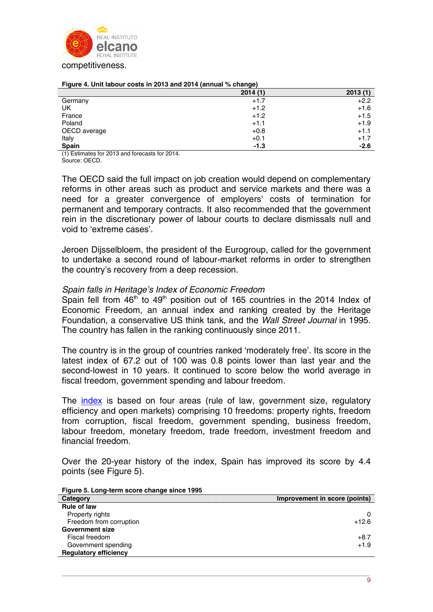

|  |  | Figure 4. Unit labour costs in 2013 and 2014 (annual % change) |
|--|--|----------------------------------------------------------------|
|  |  |                                                                |

| -9-7    |         |
|---------|---------|
| 2014(1) | 2013(1) |
| $+1.7$  | $+2.2$  |
| $+1.2$  | $+1.6$  |
| $+1.2$  | $+1.5$  |
| $+1.1$  | $+1.9$  |
| $+0.8$  | $+1.1$  |
| $+0.1$  | $+1.7$  |
| $-1.3$  | $-2.6$  |
|         |         |

(1) Estimates for 2013 and forecasts for 2014. Source: OECD.

The OECD said the full impact on job creation would depend on complementary reforms in other areas such as product and service markets and there was a need for a greater convergence of employers' costs of termination for permanent and temporary contracts. It also recommended that the government rein in the discretionary power of labour courts to declare dismissals null and void to 'extreme cases'.

Jeroen Dijsselbloem, the president of the Eurogroup, called for the government to undertake a second round of labour-market reforms in order to strengthen the country's recovery from a deep recession.

### *Spain falls in Heritage's Index of Economic Freedom*

Spain fell from  $46<sup>th</sup>$  to  $49<sup>th</sup>$  position out of 165 countries in the 2014 Index of Economic Freedom, an annual index and ranking created by the Heritage Foundation, a conservative US think tank, and the *Wall Street Journal* in 1995. The country has fallen in the ranking continuously since 2011.

The country is in the group of countries ranked 'moderately free'. Its score in the latest index of 67.2 out of 100 was 0.8 points lower than last year and the second-lowest in 10 years. It continued to score below the world average in fiscal freedom, government spending and labour freedom.

The [index](http://www.heritage.org/index/?utm_source=heritagefoundation&utm_medium=homepage&utm_campaign=headline140114) is based on four areas (rule of law, government size, regulatory efficiency and open markets) comprising 10 freedoms: property rights, freedom from corruption, fiscal freedom, government spending, business freedom, labour freedom, monetary freedom, trade freedom, investment freedom and financial freedom.

Over the 20-year history of the index, Spain has improved its score by 4.4 points (see Figure 5).

| Category                     | Improvement in score (points) |
|------------------------------|-------------------------------|
| <b>Rule of law</b>           |                               |
| Property rights              | 0                             |
| Freedom from corruption      | $+12.6$                       |
| <b>Government size</b>       |                               |
| Fiscal freedom               | $+8.7$                        |
| Government spending          | $+1.9$                        |
| <b>Requlatory efficiency</b> |                               |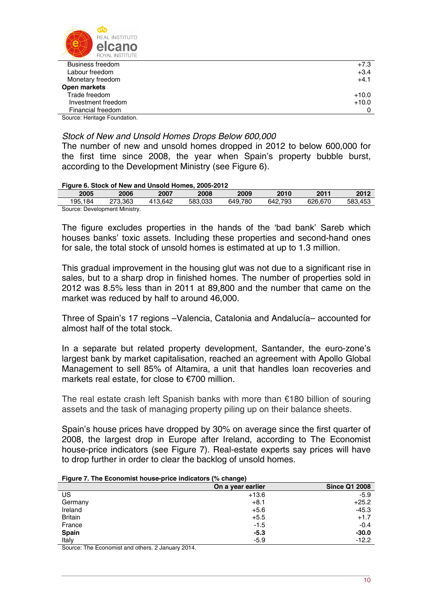

| Business freedom                             | $+7.3$  |
|----------------------------------------------|---------|
| Labour freedom                               | $+3.4$  |
| Monetary freedom                             | $+4.1$  |
| Open markets                                 |         |
| Trade freedom                                | $+10.0$ |
| Investment freedom                           | $+10.0$ |
| Financial freedom                            |         |
| Organization of the state and France studies |         |

Source: Heritage Foundation.

## *Stock of New and Unsold Homes Drops Below 600,000*

The number of new and unsold homes dropped in 2012 to below 600,000 for the first time since 2008, the year when Spain's property bubble burst, according to the Development Ministry (see Figure 6).

#### **Figure 6. Stock of New and Unsold Homes, 2005-2012**

| 2005                          | 2006    | 2007    | 2008    | 2009    | 2010    | 201'    | 2012    |
|-------------------------------|---------|---------|---------|---------|---------|---------|---------|
| 195.184                       | 273.363 | 413.642 | 583.033 | 649.780 | 642.793 | 626,670 | 583.453 |
| Source: Development Ministry. |         |         |         |         |         |         |         |

The figure excludes properties in the hands of the 'bad bank' Sareb which houses banks' toxic assets. Including these properties and second-hand ones for sale, the total stock of unsold homes is estimated at up to 1.3 million.

This gradual improvement in the housing glut was not due to a significant rise in sales, but to a sharp drop in finished homes. The number of properties sold in 2012 was 8.5% less than in 2011 at 89,800 and the number that came on the market was reduced by half to around 46,000.

Three of Spain's 17 regions –Valencia, Catalonia and Andalucía– accounted for almost half of the total stock.

In a separate but related property development, Santander, the euro-zone's largest bank by market capitalisation, reached an agreement with Apollo Global Management to sell 85% of Altamira, a unit that handles loan recoveries and markets real estate, for close to €700 million.

The real estate crash left Spanish banks with more than  $\epsilon$ 180 billion of souring assets and the task of managing property piling up on their balance sheets.

Spain's house prices have dropped by 30% on average since the first quarter of 2008, the largest drop in Europe after Ireland, according to The Economist house-price indicators (see Figure 7). Real-estate experts say prices will have to drop further in order to clear the backlog of unsold homes.

| Figure 7. The Economist house-price indicators (% change) |  |  |
|-----------------------------------------------------------|--|--|
|                                                           |  |  |

|                | .<br>$\sim$ $\sim$ $\sim$ $\sim$ $\sim$ $\sim$ $\sim$ $\sim$ |                      |
|----------------|--------------------------------------------------------------|----------------------|
|                | On a year earlier                                            | <b>Since Q1 2008</b> |
| US             | $+13.6$                                                      | $-5.9$               |
| Germany        | $+8.1$                                                       | $+25.2$              |
| Ireland        | $+5.6$                                                       | $-45.3$              |
| <b>Britain</b> | $+5.5$                                                       | $+1.7$               |
| France         | $-1.5$                                                       | $-0.4$               |
| <b>Spain</b>   | $-5.3$                                                       | $-30.0$              |
| Italy          | $-5.9$                                                       | $-12.2$              |

Source: The Economist and others. 2 January 2014.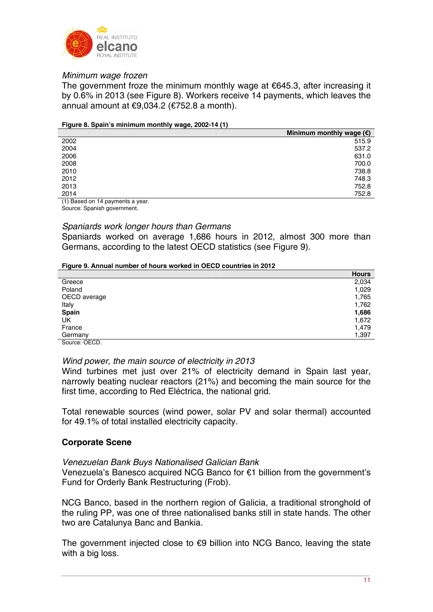

## *Minimum wage frozen*

The government froze the minimum monthly wage at  $€645.3$ , after increasing it by 0.6% in 2013 (see Figure 8). Workers receive 14 payments, which leaves the annual amount at €9,034.2 (€752.8 a month).

#### **Figure 8. Spain's minimum monthly wage, 2002-14 (1)**

|      | Minimum monthly wage $(\epsilon)$ |
|------|-----------------------------------|
| 2002 | 515.9                             |
| 2004 | 537.2                             |
| 2006 | 631.0                             |
| 2008 | 700.0                             |
| 2010 | 738.8                             |
| 2012 | 748.3                             |
| 2013 | 752.8                             |
| 2014 | 752.8                             |
|      |                                   |

(1) Based on 14 payments a year. Source: Spanish government.

## *Spaniards work longer hours than Germans*

Spaniards worked on average 1,686 hours in 2012, almost 300 more than Germans, according to the latest OECD statistics (see Figure 9).

#### **Figure 9. Annual number of hours worked in OECD countries in 2012**

|              | <b>Hours</b> |
|--------------|--------------|
| Greece       | 2,034        |
| Poland       | 1,029        |
| OECD average | 1,765        |
| Italy        | 1,762        |
| Spain        | 1,686        |
| UK           | 1,672        |
| France       | 1,479        |
| Germany      | 1,397        |
| Course OFOD  |              |

Source: OECD.

#### *Wind power, the main source of electricity in 2013*

Wind turbines met just over 21% of electricity demand in Spain last year, narrowly beating nuclear reactors (21%) and becoming the main source for the first time, according to Red Eléctrica, the national grid.

Total renewable sources (wind power, solar PV and solar thermal) accounted for 49.1% of total installed electricity capacity.

## **Corporate Scene**

## *Venezuelan Bank Buys Nationalised Galician Bank*

Venezuela's Banesco acquired NCG Banco for €1 billion from the government's Fund for Orderly Bank Restructuring (Frob).

NCG Banco, based in the northern region of Galicia, a traditional stronghold of the ruling PP, was one of three nationalised banks still in state hands. The other two are Catalunya Banc and Bankia.

The government injected close to €9 billion into NCG Banco, leaving the state with a big loss.